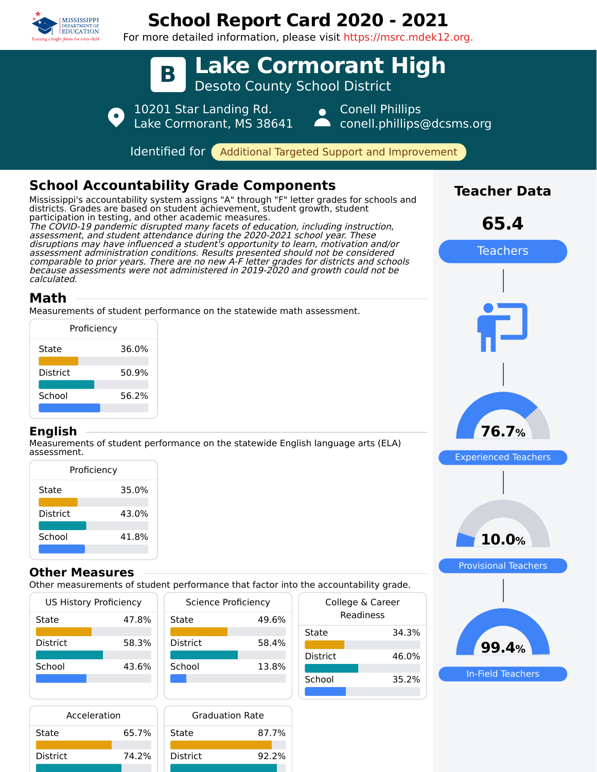

# **School Report Card 2020 - 2021**

For more detailed information, please visit https://msrc.mdek12.org.



State 65.7% District 74.2%